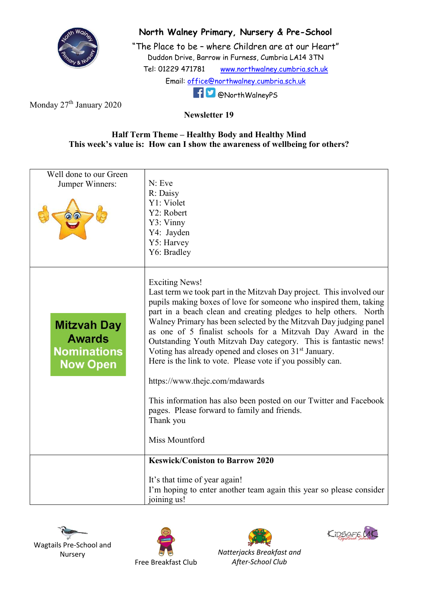

## North Walney Primary, Nursery & Pre-School

"The Place to be – where Children are at our Heart" Duddon Drive, Barrow in Furness, Cumbria LA14 3TN Tel: 01229 471781 www.northwalney.cumbria.sch.uk Email: office@northwalney.cumbria.sch.uk @NorthWalneyPS

Monday 27<sup>th</sup> January 2020

Newsletter 19

## Half Term Theme – Healthy Body and Healthy Mind This week's value is: How can I show the awareness of wellbeing for others?

| Well done to our Green<br>Jumper Winners:                                    | N: Eve<br>R: Daisy<br>Y1: Violet<br>Y2: Robert<br>Y3: Vinny<br>Y4: Jayden                                                                                                                                                                                                                                                                                                                                                                                                                                                                                                                                                                                                                                                                                              |
|------------------------------------------------------------------------------|------------------------------------------------------------------------------------------------------------------------------------------------------------------------------------------------------------------------------------------------------------------------------------------------------------------------------------------------------------------------------------------------------------------------------------------------------------------------------------------------------------------------------------------------------------------------------------------------------------------------------------------------------------------------------------------------------------------------------------------------------------------------|
|                                                                              | Y5: Harvey<br>Y6: Bradley                                                                                                                                                                                                                                                                                                                                                                                                                                                                                                                                                                                                                                                                                                                                              |
| <b>Mitzvah Day</b><br><b>Awards</b><br><b>Nominations</b><br><b>Now Open</b> | <b>Exciting News!</b><br>Last term we took part in the Mitzvah Day project. This involved our<br>pupils making boxes of love for someone who inspired them, taking<br>part in a beach clean and creating pledges to help others. North<br>Walney Primary has been selected by the Mitzvah Day judging panel<br>as one of 5 finalist schools for a Mitzvah Day Award in the<br>Outstanding Youth Mitzvah Day category. This is fantastic news!<br>Voting has already opened and closes on 31 <sup>st</sup> January.<br>Here is the link to vote. Please vote if you possibly can.<br>https://www.thejc.com/mdawards<br>This information has also been posted on our Twitter and Facebook<br>pages. Please forward to family and friends.<br>Thank you<br>Miss Mountford |
|                                                                              | <b>Keswick/Coniston to Barrow 2020</b>                                                                                                                                                                                                                                                                                                                                                                                                                                                                                                                                                                                                                                                                                                                                 |
|                                                                              | It's that time of year again!<br>I'm hoping to enter another team again this year so please consider<br>joining us!                                                                                                                                                                                                                                                                                                                                                                                                                                                                                                                                                                                                                                                    |









Natterjacks Breakfast and After-School Club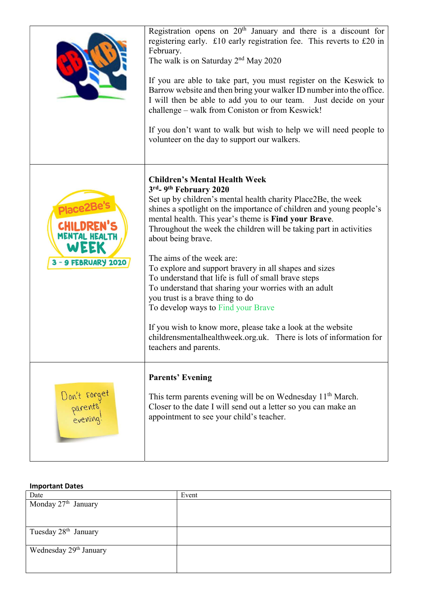|                                     | Registration opens on 20 <sup>th</sup> January and there is a discount for<br>registering early. £10 early registration fee. This reverts to £20 in<br>February.<br>The walk is on Saturday $2nd$ May 2020<br>If you are able to take part, you must register on the Keswick to<br>Barrow website and then bring your walker ID number into the office.<br>I will then be able to add you to our team. Just decide on your<br>challenge - walk from Coniston or from Keswick!<br>If you don't want to walk but wish to help we will need people to<br>volunteer on the day to support our walkers.                                                                                                                                                                                                                               |
|-------------------------------------|----------------------------------------------------------------------------------------------------------------------------------------------------------------------------------------------------------------------------------------------------------------------------------------------------------------------------------------------------------------------------------------------------------------------------------------------------------------------------------------------------------------------------------------------------------------------------------------------------------------------------------------------------------------------------------------------------------------------------------------------------------------------------------------------------------------------------------|
| WEEK<br>3 - 9 FEBRUARY 2020         | <b>Children's Mental Health Week</b><br>3rd <sub>-9<sup>th</sup> February 2020</sub><br>Set up by children's mental health charity Place2Be, the week<br>shines a spotlight on the importance of children and young people's<br>mental health. This year's theme is Find your Brave.<br>Throughout the week the children will be taking part in activities<br>about being brave.<br>The aims of the week are:<br>To explore and support bravery in all shapes and sizes<br>To understand that life is full of small brave steps<br>To understand that sharing your worries with an adult<br>you trust is a brave thing to do<br>To develop ways to Find your Brave<br>If you wish to know more, please take a look at the website<br>childrensmentalhealthweek.org.uk. There is lots of information for<br>teachers and parents. |
| Don't forget<br>parents<br>evening! | <b>Parents' Evening</b><br>This term parents evening will be on Wednesday 11 <sup>th</sup> March.<br>Closer to the date I will send out a letter so you can make an<br>appointment to see your child's teacher.                                                                                                                                                                                                                                                                                                                                                                                                                                                                                                                                                                                                                  |

## Important Dates

| Date                               | Event |
|------------------------------------|-------|
| Monday 27 <sup>th</sup> January    |       |
|                                    |       |
|                                    |       |
| Tuesday 28 <sup>th</sup> January   |       |
|                                    |       |
| Wednesday 29 <sup>th</sup> January |       |
|                                    |       |
|                                    |       |